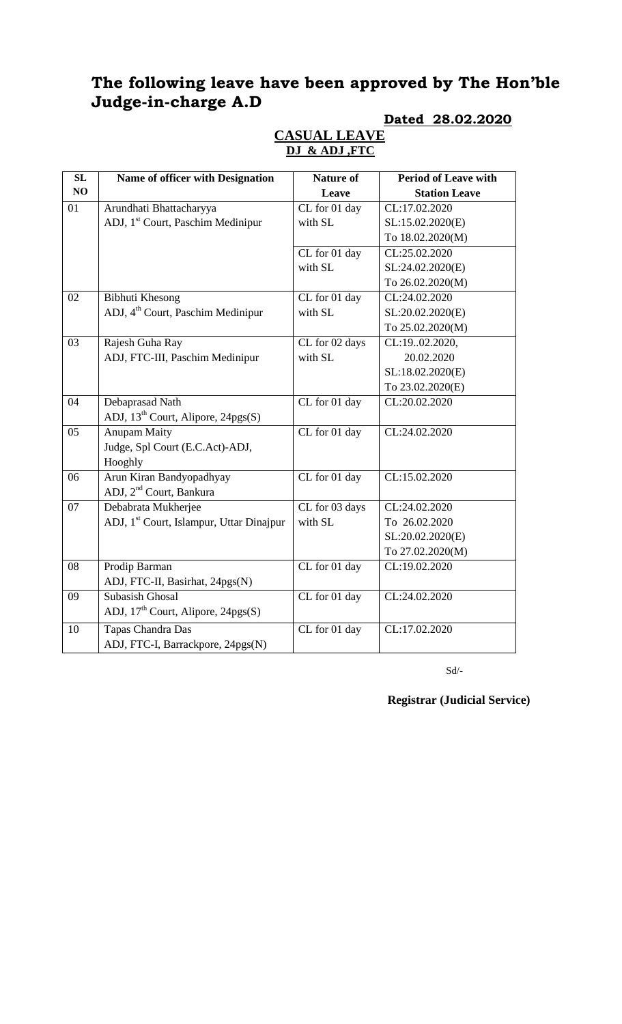# **The following leave have been approved by The Hon'ble Judge-in-charge A.D**

#### **Dated 28.02.2020**

| SL | Name of officer with Designation                     | <b>Nature of</b>                  | <b>Period of Leave with</b> |
|----|------------------------------------------------------|-----------------------------------|-----------------------------|
| NO |                                                      | Leave                             | <b>Station Leave</b>        |
| 01 | Arundhati Bhattacharyya                              | $\overline{\text{CL}}$ for 01 day | CL:17.02.2020               |
|    | ADJ, 1 <sup>st</sup> Court, Paschim Medinipur        | with SL                           | SL:15.02.2020(E)            |
|    |                                                      |                                   | To 18.02.2020(M)            |
|    |                                                      | CL for 01 day                     | CL:25.02.2020               |
|    |                                                      | with SL                           | SL:24.02.2020(E)            |
|    |                                                      |                                   | To 26.02.2020(M)            |
| 02 | <b>Bibhuti Khesong</b>                               | CL for 01 day                     | CL:24.02.2020               |
|    | ADJ, 4 <sup>th</sup> Court, Paschim Medinipur        | with SL                           | SL:20.02.2020(E)            |
|    |                                                      |                                   | To 25.02.2020(M)            |
| 03 | Rajesh Guha Ray                                      | CL for 02 days                    | CL:1902.2020,               |
|    | ADJ, FTC-III, Paschim Medinipur                      | with SL                           | 20.02.2020                  |
|    |                                                      |                                   | SL:18.02.2020(E)            |
|    |                                                      |                                   | To 23.02.2020(E)            |
| 04 | Debaprasad Nath                                      | $\overline{\text{CL}}$ for 01 day | CL:20.02.2020               |
|    | ADJ, 13 <sup>th</sup> Court, Alipore, 24pgs(S)       |                                   |                             |
| 05 | <b>Anupam Maity</b>                                  | CL for 01 day                     | CL:24.02.2020               |
|    | Judge, Spl Court (E.C.Act)-ADJ,                      |                                   |                             |
|    | Hooghly                                              |                                   |                             |
| 06 | Arun Kiran Bandyopadhyay                             | CL for 01 day                     | CL:15.02.2020               |
|    | ADJ, 2 <sup>nd</sup> Court, Bankura                  |                                   |                             |
| 07 | Debabrata Mukherjee                                  | CL for 03 days                    | CL:24.02.2020               |
|    | ADJ, 1 <sup>st</sup> Court, Islampur, Uttar Dinajpur | with SL                           | To 26.02.2020               |
|    |                                                      |                                   | SL:20.02.2020(E)            |
|    |                                                      |                                   | To 27.02.2020(M)            |
| 08 | Prodip Barman                                        | CL for 01 day                     | CL:19.02.2020               |
|    | ADJ, FTC-II, Basirhat, 24pgs(N)                      |                                   |                             |
| 09 | Subasish Ghosal                                      | CL for 01 day                     | CL:24.02.2020               |
|    | ADJ, 17 <sup>th</sup> Court, Alipore, 24pgs(S)       |                                   |                             |
| 10 | Tapas Chandra Das                                    | CL for 01 day                     | CL:17.02.2020               |
|    | ADJ, FTC-I, Barrackpore, 24pgs(N)                    |                                   |                             |

#### **CASUAL LEAVE DJ & ADJ ,FTC**

 $Sd/-$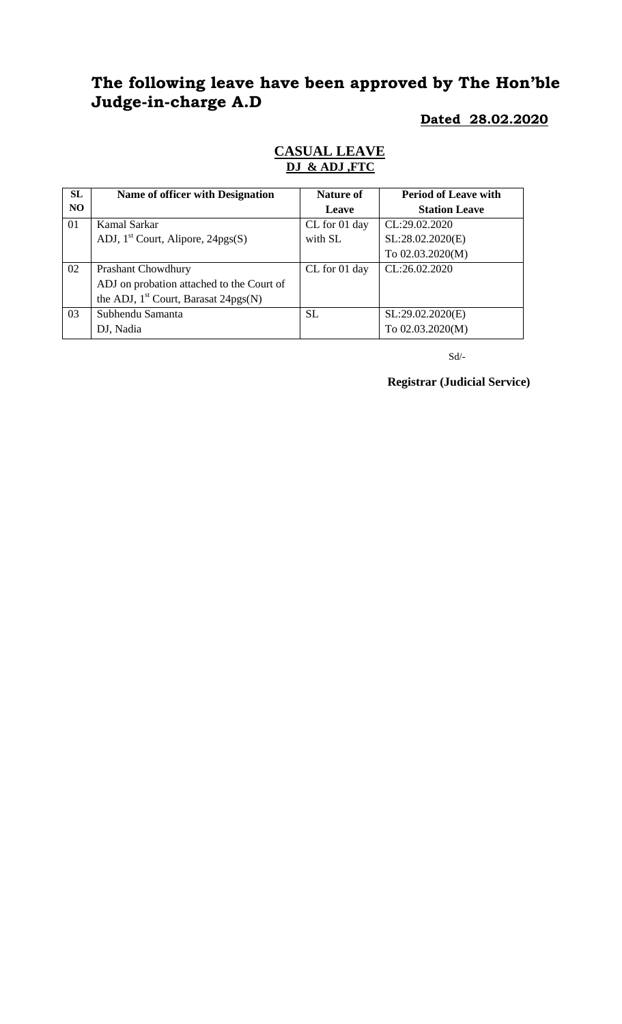# **The following leave have been approved by The Hon'ble Judge-in-charge A.D**

## **Dated 28.02.2020**

| <b>CASUAL LEAVE</b> |
|---------------------|
| DJ & ADJ, FTC       |
|                     |

| SL  | Name of officer with Designation          | <b>Nature of</b> | <b>Period of Leave with</b> |
|-----|-------------------------------------------|------------------|-----------------------------|
| NO. |                                           | Leave            | <b>Station Leave</b>        |
| 01  | Kamal Sarkar                              | CL for 01 day    | CL:29.02.2020               |
|     | ADJ, $1st$ Court, Alipore, 24pgs(S)       | with SL          | SL:28.02.2020(E)            |
|     |                                           |                  | To 02.03.2020(M)            |
| 02  | <b>Prashant Chowdhury</b>                 | CL for 01 day    | CL:26.02.2020               |
|     | ADJ on probation attached to the Court of |                  |                             |
|     | the ADJ, $1st$ Court, Barasat 24pgs(N)    |                  |                             |
| 03  | Subhendu Samanta                          | <b>SL</b>        | SL:29.02.2020(E)            |
|     | DJ, Nadia                                 |                  | To 02.03.2020(M)            |

 $Sd$ <sup>-</sup>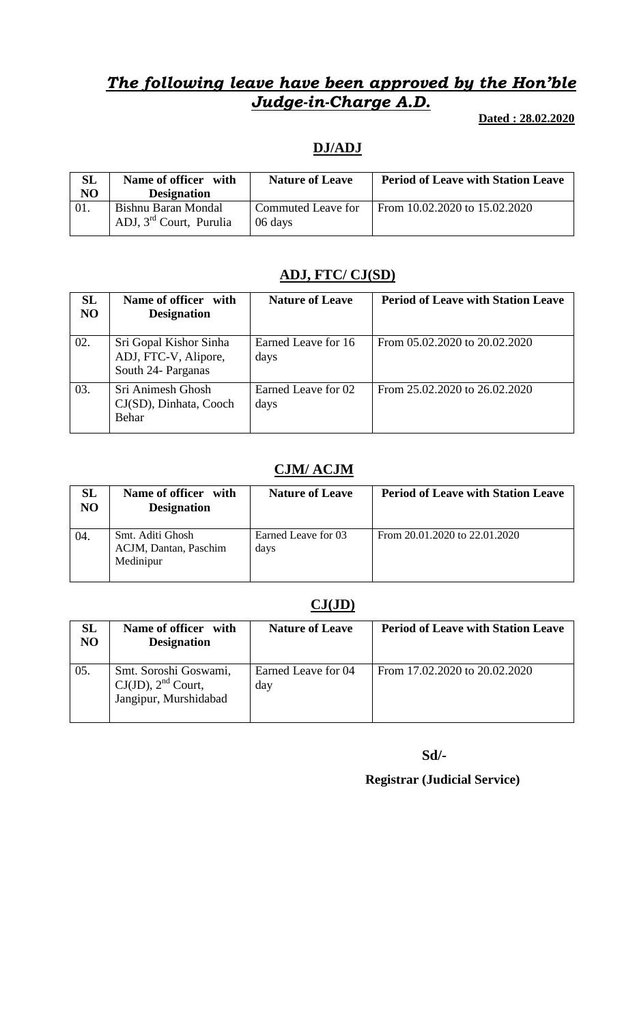# *The following leave have been approved by the Hon'ble Judge-in-Charge A.D.*

 **Dated : 28.02.2020**

## **DJ/ADJ**

| <b>SL</b><br>N <sub>O</sub> | Name of officer with<br><b>Designation</b>                 | <b>Nature of Leave</b>        | <b>Period of Leave with Station Leave</b> |
|-----------------------------|------------------------------------------------------------|-------------------------------|-------------------------------------------|
|                             | Bishnu Baran Mondal<br>ADJ, 3 <sup>rd</sup> Court, Purulia | Commuted Leave for<br>06 days | From 10.02.2020 to 15.02.2020             |

### **ADJ, FTC/ CJ(SD)**

| <b>SL</b><br>N <sub>O</sub> | Name of officer with<br><b>Designation</b>                           | <b>Nature of Leave</b>      | <b>Period of Leave with Station Leave</b> |
|-----------------------------|----------------------------------------------------------------------|-----------------------------|-------------------------------------------|
| 02.                         | Sri Gopal Kishor Sinha<br>ADJ, FTC-V, Alipore,<br>South 24- Parganas | Earned Leave for 16<br>days | From 05.02.2020 to 20.02.2020             |
| 03.                         | Sri Animesh Ghosh<br>CJ(SD), Dinhata, Cooch<br>Behar                 | Earned Leave for 02<br>days | From 25.02.2020 to 26.02.2020             |

## **CJM/ ACJM**

| SL<br>NO | Name of officer with<br><b>Designation</b>             | <b>Nature of Leave</b>      | <b>Period of Leave with Station Leave</b> |
|----------|--------------------------------------------------------|-----------------------------|-------------------------------------------|
| 04.      | Smt. Aditi Ghosh<br>ACJM, Dantan, Paschim<br>Medinipur | Earned Leave for 03<br>days | From 20.01.2020 to 22.01.2020             |

### **CJ(JD)**

| SL<br>N <sub>O</sub> | Name of officer with<br><b>Designation</b>                                | <b>Nature of Leave</b>     | <b>Period of Leave with Station Leave</b> |
|----------------------|---------------------------------------------------------------------------|----------------------------|-------------------------------------------|
| 05.                  | Smt. Soroshi Goswami,<br>$CJ(JD)$ , $2nd$ Court,<br>Jangipur, Murshidabad | Earned Leave for 04<br>day | From 17.02.2020 to 20.02.2020             |

 **Sd/-**